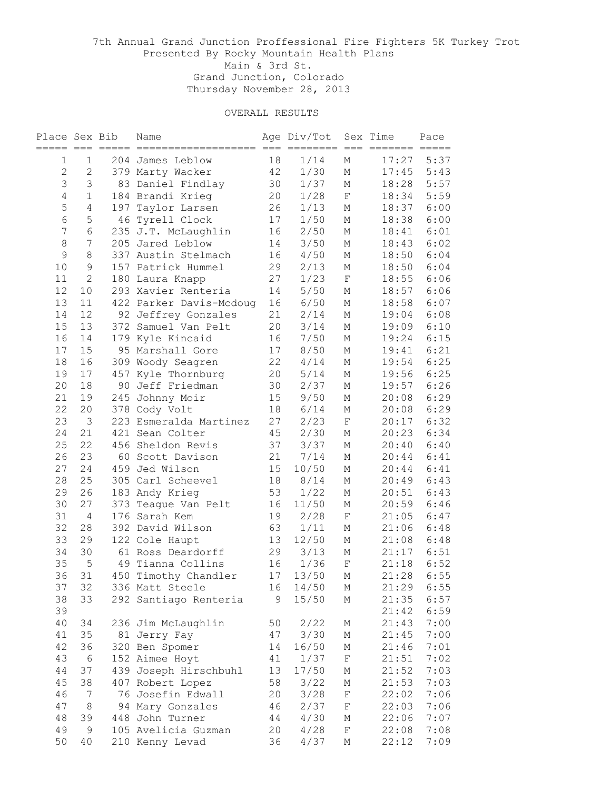| Place Sex Bib  | $= == -$       |     | Name                    |    | Age Div/Tot<br>$=$ $=$ $=$ | $=$<br>$=$  | Sex Time<br>$=$ $=$ $=$ $=$ $=$ $=$ | Pace<br>$=$ $=$ $=$ $=$ $=$ |
|----------------|----------------|-----|-------------------------|----|----------------------------|-------------|-------------------------------------|-----------------------------|
| $\mathbf 1$    | $\mathbf 1$    |     | 204 James Leblow        | 18 | 1/14                       | М           | 17:27                               | 5:37                        |
| $\overline{c}$ | $\overline{2}$ |     | 379 Marty Wacker        | 42 | 1/30                       | М           | 17:45                               | 5:43                        |
| $\mathfrak{Z}$ | 3              |     | 83 Daniel Findlay       | 30 | 1/37                       | М           | 18:28                               | 5:57                        |
| $\overline{4}$ | $\mathbf 1$    |     | 184 Brandi Krieg        | 20 | 1/28                       | $\mathbf F$ | 18:34                               | 5:59                        |
| 5              | 4              | 197 | Taylor Larsen           | 26 | 1/13                       | М           | 18:37                               | 6:00                        |
| $\epsilon$     | 5              |     | 46 Tyrell Clock         | 17 | 1/50                       | М           | 18:38                               | 6:00                        |
| 7              | 6              |     | 235 J.T. McLaughlin     | 16 | 2/50                       | М           | 18:41                               | 6:01                        |
| 8              | 7              |     | 205 Jared Leblow        | 14 | 3/50                       | М           | 18:43                               | 6:02                        |
| $\mathcal{G}$  | $\,8\,$        |     | 337 Austin Stelmach     | 16 | 4/50                       | М           | 18:50                               | 6:04                        |
| 10             | 9              |     | 157 Patrick Hummel      | 29 | 2/13                       | М           | 18:50                               | 6:04                        |
| 11             | 2              |     | 180 Laura Knapp         | 27 | 1/23                       | $\mathbf F$ | 18:55                               | 6:06                        |
| 12             | 10             |     | 293 Xavier Renteria     | 14 | 5/50                       | М           | 18:57                               | 6:06                        |
| 13             | 11             |     | 422 Parker Davis-Mcdoug | 16 | 6/50                       | М           | 18:58                               | 6:07                        |
| 14             | 12             |     | 92 Jeffrey Gonzales     | 21 | 2/14                       | М           | 19:04                               | 6:08                        |
| 15             | 13             | 372 | Samuel Van Pelt         | 20 | 3/14                       | М           | 19:09                               | 6:10                        |
| 16             | 14             |     | 179 Kyle Kincaid        | 16 | 7/50                       | М           | 19:24                               | 6:15                        |
| 17             | 15             |     | 95 Marshall Gore        | 17 | 8/50                       | М           | 19:41                               | 6:21                        |
| 18             | 16             | 309 | Woody Seagren           | 22 | 4/14                       | М           | 19:54                               | 6:25                        |
| 19             | 17             | 457 | Kyle Thornburg          | 20 | $5/14$                     | М           | 19:56                               | 6:25                        |
| 20             | 18             | 90  | Jeff Friedman           | 30 | 2/37                       | М           | 19:57                               | 6:26                        |
| 21             | 19             | 245 | Johnny Moir             | 15 | 9/50                       | М           | 20:08                               | 6:29                        |
| 22             | 20             |     | 378 Cody Volt           | 18 | 6/14                       | М           | 20:08                               | 6:29                        |
| 23             | $\mathcal{S}$  |     | 223 Esmeralda Martinez  | 27 | 2/23                       | $\mathbf F$ | 20:17                               | 6:32                        |
| 24             | 21             |     | 421 Sean Colter         | 45 | 2/30                       | М           | 20:23                               | 6:34                        |
| 25             | 22             |     | 456 Sheldon Revis       | 37 | 3/37                       | М           | 20:40                               | 6:40                        |
| 26             | 23             | 60  | Scott Davison           | 21 | 7/14                       | М           | 20:44                               | 6:41                        |
| 27             | 24             | 459 | Jed Wilson              | 15 | 10/50                      | М           | 20:44                               | 6:41                        |
| 28             | 25             |     | 305 Carl Scheevel       | 18 | 8/14                       | М           | 20:49                               | 6:43                        |
| 29             | 26             |     | 183 Andy Krieg          | 53 | 1/22                       | М           | 20:51                               | 6:43                        |
| 30             | 27             | 373 | Teague Van Pelt         | 16 | 11/50                      | М           | 20:59                               | 6:46                        |
| 31             | 4              |     | 176 Sarah Kem           | 19 | 2/28                       | $\rm F$     | 21:05                               | 6:47                        |
| 32             | 28             |     | 392 David Wilson        | 63 | 1/11                       | М           | 21:06                               | 6:48                        |
| 33             | 29             |     | 122 Cole Haupt          | 13 | 12/50                      | М           | 21:08                               | 6:48                        |
| 34             | 30             |     | 61 Ross Deardorff       | 29 | 3/13                       | М           | 21:17                               | 6:51                        |
| 35             | 5              | 49  | Tianna Collins          | 16 | 1/36                       | $\rm F$     | 21:18                               | 6:52                        |
| 36             | 31             | 450 | Timothy Chandler        | 17 | 13/50                      | М           | 21:28                               | 6:55                        |
| 37             | 32             |     | 336 Matt Steele         | 16 | 14/50                      | Μ           | 21:29                               | 6:55                        |
| 38             | 33             |     | 292 Santiago Renteria   | 9  | 15/50                      | М           | 21:35                               | 6:57                        |
| 39             |                |     |                         |    |                            |             | 21:42                               | 6:59                        |
| 40             | 34             |     | 236 Jim McLaughlin      | 50 | 2/22                       | М           | 21:43                               | 7:00                        |
| 41             | 35             |     | 81 Jerry Fay            | 47 | 3/30                       | М           | 21:45                               | 7:00                        |
| 42             | 36             |     | 320 Ben Spomer          | 14 | 16/50                      | $\mathbb M$ | 21:46                               | 7:01                        |
| 43             | $\sqrt{6}$     |     | 152 Aimee Hoyt          | 41 | 1/37                       | F           | 21:51                               | 7:02                        |
| 44             | 37             |     | 439 Joseph Hirschbuhl   | 13 | 17/50                      | Μ           | 21:52                               | 7:03                        |
| 45             | 38             |     | 407 Robert Lopez        | 58 | 3/22                       | Μ           | 21:53                               | 7:03                        |
| 46             | $\overline{7}$ |     | 76 Josefin Edwall       | 20 | 3/28                       | $\mathbf F$ | 22:02                               | 7:06                        |
| 47             | $\,8\,$        |     | 94 Mary Gonzales        | 46 | 2/37                       | $\mathbf F$ | 22:03                               | 7:06                        |
| 48             | 39             |     | 448 John Turner         | 44 | 4/30                       | Μ           | 22:06                               | 7:07                        |
| 49             | $\mathsf 9$    |     | 105 Avelicia Guzman     | 20 | 4/28                       | F           | 22:08                               | 7:08                        |
| 50             | 40             |     | 210 Kenny Levad         | 36 | 4/37                       | Μ           | 22:12                               | 7:09                        |
|                |                |     |                         |    |                            |             |                                     |                             |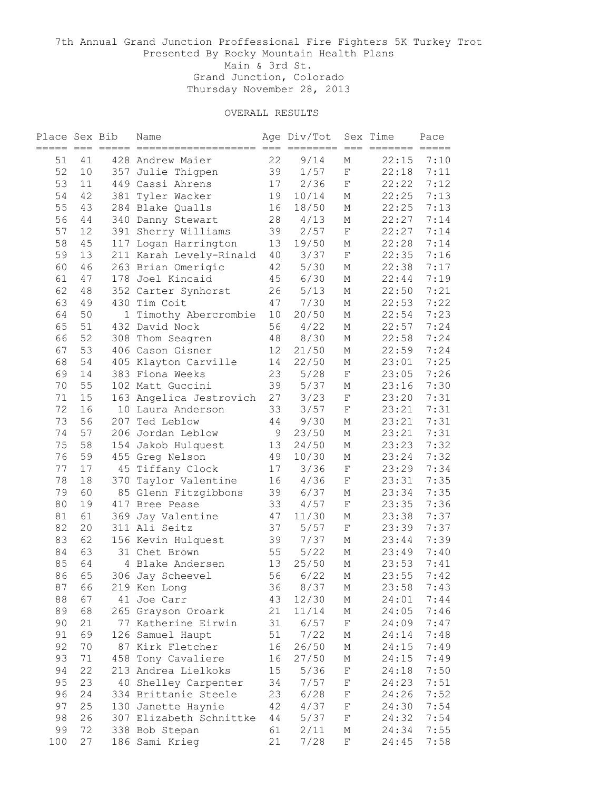| Place Sex Bib<br>==== === == |        |     | Name                            |             | Age Div/Tot<br>$==$ | $=$                        | Sex Time<br>$=$ $=$ $=$ $=$ $=$ $=$ | Pace<br>$=$ $=$ $=$ $=$ |
|------------------------------|--------|-----|---------------------------------|-------------|---------------------|----------------------------|-------------------------------------|-------------------------|
| 51                           | 41     |     | 428 Andrew Maier                | 22          | 9/14                | $=$<br>М                   | 22:15                               | 7:10                    |
| 52                           | 10     |     | 357 Julie Thigpen               | 39          | 1/57                | $\rm F$                    | 22:18                               | 7:11                    |
| 53                           | 11     |     | 449 Cassi Ahrens                | 17          | 2/36                | $\mathbf F$                | 22:22                               | 7:12                    |
| 54                           | 42     | 381 | Tyler Wacker                    | 19          | 10/14               | М                          | 22:25                               | 7:13                    |
| 55                           | 43     |     | 284 Blake Qualls                | 16          | 18/50               | М                          | 22:25                               | 7:13                    |
| 56                           | 44     |     | 340 Danny Stewart               | 28          | 4/13                | М                          | 22:27                               | 7:14                    |
| 57                           | 12     |     | 391 Sherry Williams             | 39          | 2/57                | $\mathbf F$                | 22:27                               | 7:14                    |
| 58                           | 45     |     | 117 Logan Harrington            | 13          | 19/50               | М                          | 22:28                               | 7:14                    |
| 59                           | 13     |     | 211 Karah Levely-Rinald         | 40          | 3/37                | $\mathbf F$                | 22:35                               | 7:16                    |
| 60                           | 46     |     | 263 Brian Omerigic              | 42          | 5/30                | М                          | 22:38                               | 7:17                    |
| 61                           | 47     |     | 178 Joel Kincaid                | 45          | 6/30                | М                          | 22:44                               | 7:19                    |
| 62                           | 48     |     | 352 Carter Synhorst             | 26          | 5/13                | М                          | 22:50                               | 7:21                    |
| 63                           | 49     |     | 430 Tim Coit                    | 47          | 7/30                | М                          | 22:53                               | 7:22                    |
| 64                           | 50     | 1   | Timothy Abercrombie             | 10          | 20/50               | М                          | 22:54                               | 7:23                    |
| 65                           | 51     |     | 432 David Nock                  | 56          | 4/22                | М                          | 22:57                               | 7:24                    |
| 66                           | 52     | 308 | Thom Seagren                    | 48          | 8/30                | М                          | 22:58                               | 7:24                    |
| 67                           | 53     |     | 406 Cason Gisner                | 12          | 21/50               | М                          | 22:59                               | 7:24                    |
| 68                           | 54     |     | 405 Klayton Carville            | 14          | 22/50               | М                          | 23:01                               | 7:25                    |
| 69                           | 14     |     | 383 Fiona Weeks                 | 23          | 5/28                | $\mathbf F$                | 23:05                               | 7:26                    |
| 70                           | 55     |     | 102 Matt Guccini                | 39          | 5/37                | М                          | 23:16                               | 7:30                    |
|                              | 15     |     |                                 | 27          | 3/23                |                            | 23:20                               | 7:31                    |
| 71<br>72                     | 16     |     | 163 Angelica Jestrovich         |             | 3/57                | $\mathbf F$<br>$\mathbf F$ | 23:21                               |                         |
| 73                           |        | 207 | 10 Laura Anderson<br>Ted Leblow | 33          |                     |                            |                                     | 7:31                    |
|                              | 56     |     |                                 | 44          | 9/30                | М                          | 23:21                               | 7:31                    |
| 74                           | 57     |     | 206 Jordan Leblow               | $\mathsf 9$ | 23/50               | М                          | 23:21                               | 7:31                    |
| 75                           | 58     |     | 154 Jakob Hulquest              | 13          | 24/50               | М                          | 23:23                               | 7:32                    |
| 76                           | 59     |     | 455 Greg Nelson                 | 49          | 10/30               | М                          | 23:24                               | 7:32                    |
| 77                           | 17     | 45  | Tiffany Clock                   | 17          | 3/36                | $\mathbf F$                | 23:29                               | 7:34                    |
| 78                           | 18     | 370 | Taylor Valentine                | 16          | 4/36                | $\mathbf F$                | 23:31                               | 7:35                    |
| 79                           | 60     |     | 85 Glenn Fitzgibbons            | 39          | 6/37                | М                          | 23:34                               | 7:35                    |
| 80                           | 19     |     | 417 Bree Pease                  | 33          | 4/57                | $\rm F$                    | 23:35                               | 7:36                    |
| 81                           | 61     |     | 369 Jay Valentine               | 47          | 11/30               | М                          | 23:38                               | 7:37                    |
| 82                           | 20     |     | 311 Ali Seitz                   | 37          | 5/57                | $\rm F$                    | 23:39                               | 7:37                    |
| 83                           | 62     |     | 156 Kevin Hulquest              | 39          | 7/37                | Μ                          | 23:44                               | 7:39                    |
| 84                           | 63     |     | 31 Chet Brown                   | 55          | 5/22                | М                          | 23:49                               | 7:40                    |
| 85                           | 64     |     | 4 Blake Andersen                | 13          | 25/50               | М                          | 23:53                               | 7:41                    |
| 86                           | 65     |     | 306 Jay Scheevel                | 56          | 6/22                | М                          | 23:55                               | 7:42                    |
| 87                           | 66     |     | 219 Ken Long                    | 36          | 8/37                | Μ                          | 23:58                               | 7:43                    |
| 88                           | 67     |     | 41 Joe Carr                     | 43          | 12/30               | М                          | 24:01                               | 7:44                    |
| 89                           | 68     |     | 265 Grayson Oroark              | 21          | 11/14               | М                          | 24:05                               | 7:46                    |
| 90                           | 21     | 77  | Katherine Eirwin                | 31          | 6/57                | $\mathbf F$                | 24:09                               | 7:47                    |
| 91                           | 69     |     | 126 Samuel Haupt                | $51\,$      | 7/22                | Μ                          | 24:14                               | 7:48                    |
| 92                           | 70     |     | 87 Kirk Fletcher                | 16          | 26/50               | М                          | 24:15                               | 7:49                    |
| 93                           | $71\,$ | 458 | Tony Cavaliere                  | 16          | 27/50               | М                          | 24:15                               | 7:49                    |
| 94                           | 22     |     | 213 Andrea Lielkoks             | 15          | 5/36                | $\mathbf F$                | 24:18                               | 7:50                    |
| 95                           | 23     |     | 40 Shelley Carpenter            | 34          | 7/57                | $\mathbf F$                | 24:23                               | 7:51                    |
| 96                           | 24     |     | 334 Brittanie Steele            | 23          | 6/28                | $\mathbf F$                | 24:26                               | 7:52                    |
| 97                           | 25     |     | 130 Janette Haynie              | 42          | 4/37                | $\mathbf F$                | 24:30                               | 7:54                    |
| 98                           | 26     |     | 307 Elizabeth Schnittke         | 44          | 5/37                | $\mathbf F$                | 24:32                               | 7:54                    |
| 99                           | 72     |     | 338 Bob Stepan                  | 61          | 2/11                | Μ                          | 24:34                               | 7:55                    |
| 100                          | 27     |     | 186 Sami Krieg                  | 21          | 7/28                | F                          | 24:45                               | 7:58                    |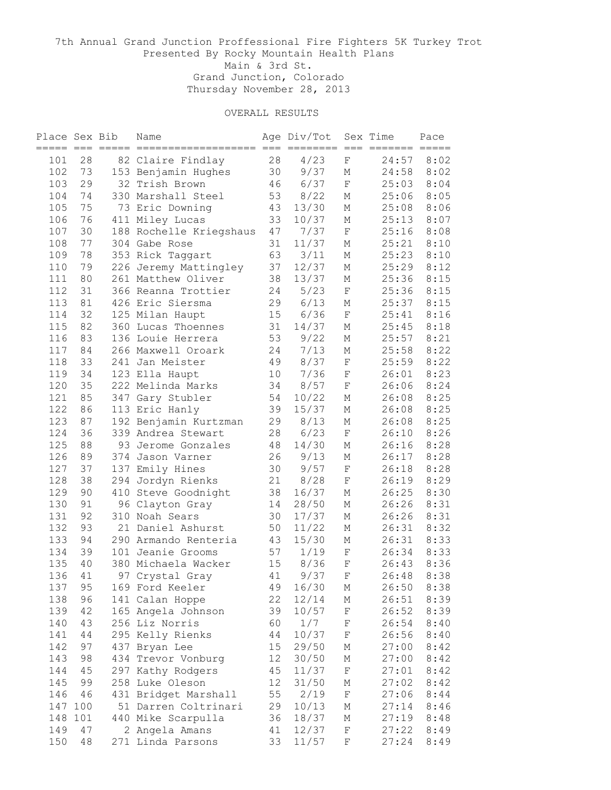| Place Sex Bib | === === = |     | Name                    |    | Age Div/Tot<br>$==$ | $=$            | Sex Time<br>======= | Pace                    |
|---------------|-----------|-----|-------------------------|----|---------------------|----------------|---------------------|-------------------------|
| 101           | 28        |     | 82 Claire Findlay       | 28 | 4/23                | $=$<br>$\rm F$ | 24:57               | $=$ $=$ $=$ $=$<br>8:02 |
| 102           | 73        |     | 153 Benjamin Hughes     | 30 | 9/37                | М              | 24:58               | 8:02                    |
| 103           | 29        |     | 32 Trish Brown          | 46 | 6/37                | $\mathbf F$    | 25:03               | 8:04                    |
| 104           | 74        |     | 330 Marshall Steel      | 53 | 8/22                | М              | 25:06               | 8:05                    |
| 105           | 75        |     | 73 Eric Downing         | 43 | 13/30               | М              | 25:08               | 8:06                    |
| 106           | 76        |     | 411 Miley Lucas         | 33 | 10/37               | М              | 25:13               | 8:07                    |
| 107           | 30        |     | 188 Rochelle Kriegshaus | 47 | 7/37                | $\rm F$        | 25:16               | 8:08                    |
| 108           | 77        |     | 304 Gabe Rose           | 31 | 11/37               | М              | 25:21               | 8:10                    |
| 109           | 78        |     | 353 Rick Taggart        | 63 | $3/11$              | М              | 25:23               | 8:10                    |
| 110           | 79        |     | 226 Jeremy Mattingley   | 37 | 12/37               | М              | 25:29               | 8:12                    |
| 111           | 80        |     | 261 Matthew Oliver      | 38 | 13/37               | М              | 25:36               | 8:15                    |
| 112           | 31        |     | 366 Reanna Trottier     | 24 | 5/23                | $\rm F$        | 25:36               | 8:15                    |
| 113           | 81        |     | 426 Eric Siersma        | 29 | 6/13                | М              | 25:37               | 8:15                    |
| 114           | 32        |     | 125 Milan Haupt         | 15 | 6/36                | $\rm F$        | 25:41               | 8:16                    |
| 115           | 82        |     | 360 Lucas Thoennes      | 31 | 14/37               | М              | 25:45               | 8:18                    |
| 116           | 83        |     | 136 Louie Herrera       | 53 | 9/22                | М              | 25:57               | 8:21                    |
| 117           | 84        |     | 266 Maxwell Oroark      | 24 | 7/13                | М              | 25:58               | 8:22                    |
| 118           | 33        |     | 241 Jan Meister         | 49 | 8/37                | $\mathbf F$    | 25:59               | 8:22                    |
| 119           | 34        |     | 123 Ella Haupt          | 10 | 7/36                | F              | 26:01               | 8:23                    |
| 120           | 35        |     | 222 Melinda Marks       | 34 | 8/57                | $\rm F$        | 26:06               | 8:24                    |
| 121           | 85        |     |                         | 54 |                     |                |                     | 8:25                    |
|               |           | 347 | Gary Stubler            |    | 10/22               | М              | 26:08               |                         |
| 122           | 86        |     | 113 Eric Hanly          | 39 | 15/37               | М              | 26:08               | 8:25                    |
| 123           | 87        |     | 192 Benjamin Kurtzman   | 29 | 8/13                | М              | 26:08               | 8:25                    |
| 124           | 36        |     | 339 Andrea Stewart      | 28 | 6/23                | $\mathbf F$    | 26:10               | 8:26                    |
| 125           | 88        |     | 93 Jerome Gonzales      | 48 | 14/30               | М              | 26:16               | 8:28                    |
| 126           | 89        | 374 | Jason Varner            | 26 | 9/13                | М              | 26:17               | 8:28                    |
| 127           | 37        | 137 | Emily Hines             | 30 | 9/57                | $\rm F$        | 26:18               | 8:28                    |
| 128           | 38        | 294 | Jordyn Rienks           | 21 | 8/28                | $\rm F$        | 26:19               | 8:29                    |
| 129           | 90        |     | 410 Steve Goodnight     | 38 | 16/37               | М              | 26:25               | 8:30                    |
| 130           | 91        |     | 96 Clayton Gray         | 14 | 28/50               | М              | 26:26               | 8:31                    |
| 131           | 92        |     | 310 Noah Sears          | 30 | 17/37               | М              | 26:26               | 8:31                    |
| 132           | 93        |     | 21 Daniel Ashurst       | 50 | 11/22               | М              | 26:31               | 8:32                    |
| 133           | 94        |     | 290 Armando Renteria    | 43 | 15/30               | М              | 26:31               | 8:33                    |
| 134           | 39        |     | 101 Jeanie Grooms       | 57 | 1/19                | $\mathbf F$    | 26:34               | 8:33                    |
| 135           | 40        |     | 380 Michaela Wacker     | 15 | 8/36                | $\mathbf F$    | 26:43               | 8:36                    |
| 136           | 41        | 97  | Crystal Gray            | 41 | 9/37                | F              | 26:48               | 8:38                    |
| 137           | 95        |     | 169 Ford Keeler         | 49 | 16/30               | М              | 26:50               | 8:38                    |
| 138           | 96        |     | 141 Calan Hoppe         | 22 | 12/14               | М              | 26:51               | 8:39                    |
| 139           | 42        |     | 165 Angela Johnson      | 39 | 10/57               | $\rm F$        | 26:52               | 8:39                    |
| 140           | 43        |     | 256 Liz Norris          | 60 | 1/7                 | $\rm F$        | 26:54               | 8:40                    |
| 141           | 44        |     | 295 Kelly Rienks        | 44 | 10/37               | $\rm F$        | 26:56               | 8:40                    |
| 142           | 97        |     | 437 Bryan Lee           | 15 | 29/50               | М              | 27:00               | 8:42                    |
| 143           | 98        |     | 434 Trevor Vonburg      | 12 | 30/50               | М              | 27:00               | 8:42                    |
| 144           | 45        |     | 297 Kathy Rodgers       | 45 | 11/37               | $\mathbf F$    | 27:01               | 8:42                    |
| 145           | 99        |     | 258 Luke Oleson         | 12 | 31/50               | М              | 27:02               | 8:42                    |
| 146           | 46        |     | 431 Bridget Marshall    | 55 | 2/19                | $\rm F$        | 27:06               | 8:44                    |
| 147           | 100       |     | 51 Darren Coltrinari    | 29 | 10/13               | Μ              | 27:14               | 8:46                    |
| 148           | 101       |     | 440 Mike Scarpulla      | 36 | 18/37               | М              | 27:19               | 8:48                    |
| 149           | 47        |     | 2 Angela Amans          | 41 | 12/37               | F              | 27:22               | 8:49                    |
| 150           | 48        |     | 271 Linda Parsons       | 33 | 11/57               | F              | 27:24               | 8:49                    |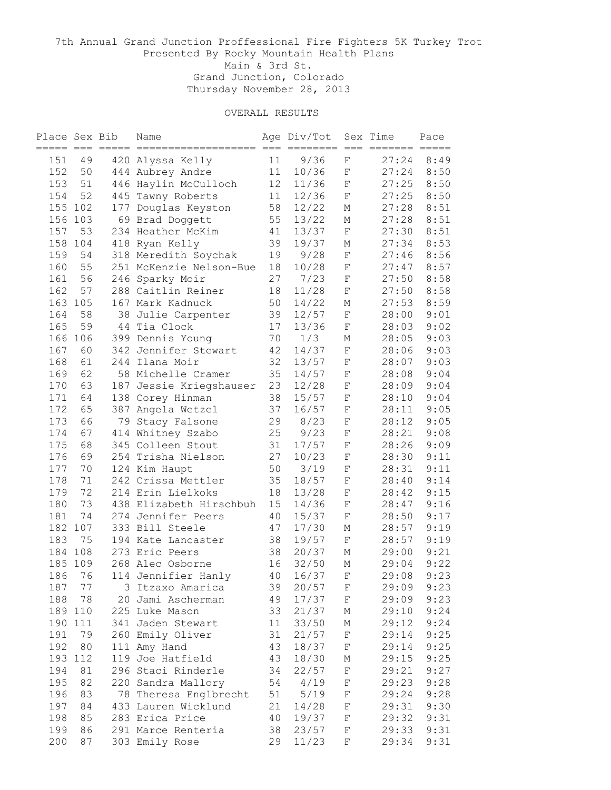| Place Sex Bib | === === == |     | Name                    |    | Age Div/Tot<br>$==$ |                       | Sex Time<br>======= | Pace<br>$=$ $=$ $=$ $=$ |
|---------------|------------|-----|-------------------------|----|---------------------|-----------------------|---------------------|-------------------------|
| 151           | 49         |     | 420 Alyssa Kelly        | 11 | 9/36                | $=$<br>$=$<br>$\rm F$ | 27:24               | 8:49                    |
| 152           | 50         |     | 444 Aubrey Andre        | 11 | 10/36               | $\rm F$               | 27:24               | 8:50                    |
| 153           | 51         |     | 446 Haylin McCulloch    | 12 | 11/36               | $\mathbf F$           | 27:25               | 8:50                    |
| 154           | 52         |     | 445 Tawny Roberts       | 11 | 12/36               | $\mathbf F$           | 27:25               | 8:50                    |
| 155           | 102        |     | 177 Douglas Keyston     | 58 | 12/22               | М                     | 27:28               | 8:51                    |
| 156           | 103        |     | 69 Brad Doggett         | 55 | 13/22               | М                     | 27:28               | 8:51                    |
| 157           | 53         |     | 234 Heather McKim       | 41 | 13/37               | $\mathbf F$           | 27:30               | 8:51                    |
| 158           | 104        |     | 418 Ryan Kelly          | 39 | 19/37               | М                     | 27:34               | 8:53                    |
| 159           | 54         |     | 318 Meredith Soychak    | 19 | 9/28                | $\mathbf F$           | 27:46               | 8:56                    |
| 160           | 55         |     | 251 McKenzie Nelson-Bue | 18 | 10/28               | F                     | 27:47               | 8:57                    |
| 161           | 56         |     | 246 Sparky Moir         | 27 | 7/23                | F                     | 27:50               | 8:58                    |
| 162           | 57         |     | 288 Caitlin Reiner      | 18 | 11/28               | F                     | 27:50               | 8:58                    |
| 163           | 105        |     | 167 Mark Kadnuck        | 50 | 14/22               | М                     | 27:53               | 8:59                    |
| 164           | 58         |     | 38 Julie Carpenter      | 39 | 12/57               | $\mathbf F$           | 28:00               | 9:01                    |
| 165           | 59         |     | 44 Tia Clock            | 17 | 13/36               | $\mathbf F$           | 28:03               | 9:02                    |
| 166           | 106        |     | 399 Dennis Young        | 70 | 1/3                 | Μ                     | 28:05               | 9:03                    |
| 167           | 60         |     | 342 Jennifer Stewart    | 42 | 14/37               | $\mathbf F$           | 28:06               | 9:03                    |
| 168           | 61         |     | 244 Ilana Moir          | 32 | 13/57               | F                     | 28:07               | 9:03                    |
| 169           | 62         |     | 58 Michelle Cramer      | 35 | 14/57               | F                     | 28:08               | 9:04                    |
| 170           | 63         | 187 | Jessie Kriegshauser     | 23 | 12/28               | $\mathbf F$           | 28:09               | 9:04                    |
| 171           | 64         |     | 138 Corey Hinman        | 38 | 15/57               | $\mathbf F$           | 28:10               | 9:04                    |
| 172           | 65         |     | 387 Angela Wetzel       | 37 | 16/57               | $\mathbf F$           | 28:11               | 9:05                    |
| 173           | 66         |     | 79 Stacy Falsone        | 29 | 8/23                | $\mathbf F$           | 28:12               | 9:05                    |
| 174           | 67         |     | 414 Whitney Szabo       | 25 | 9/23                | $\mathbf F$           | 28:21               | 9:08                    |
| 175           | 68         |     | 345 Colleen Stout       | 31 | 17/57               | $\mathbf F$           | 28:26               | 9:09                    |
| 176           | 69         |     | 254 Trisha Nielson      | 27 | 10/23               | $\mathbf F$           | 28:30               | 9:11                    |
| 177           | 70         |     | 124 Kim Haupt           | 50 | 3/19                | $\mathbf F$           | 28:31               | 9:11                    |
| 178           | 71         |     | 242 Crissa Mettler      | 35 | 18/57               | $\mathbf F$           | 28:40               | 9:14                    |
| 179           | 72         |     | 214 Erin Lielkoks       | 18 | 13/28               | $\mathbf F$           | 28:42               | 9:15                    |
| 180           | 73         |     | 438 Elizabeth Hirschbuh | 15 | 14/36               | F                     | 28:47               | 9:16                    |
| 181           | 74         |     | 274 Jennifer Peers      | 40 | 15/37               | $\rm F$               | 28:50               | 9:17                    |
| 182           | 107        |     | 333 Bill Steele         | 47 | 17/30               | М                     | 28:57               | 9:19                    |
| 183           | 75         |     | 194 Kate Lancaster      | 38 | 19/57               | $\mathbf F$           | 28:57               | 9:19                    |
| 184           | 108        |     | 273 Eric Peers          | 38 | 20/37               | М                     | 29:00               | 9:21                    |
| 185           | 109        |     | 268 Alec Osborne        | 16 | 32/50               | М                     | 29:04               | 9:22                    |
| 186           | 76         |     | 114 Jennifier Hanly     | 40 | 16/37               | $\rm F$               | 29:08               | 9:23                    |
| 187           | 77         |     | 3 Itzaxo Amarica        | 39 | 20/57               | F                     | 29:09               | 9:23                    |
| 188           | 78         |     | 20 Jami Ascherman       | 49 | 17/37               | F                     | 29:09               | 9:23                    |
| 189           | 110        |     | 225 Luke Mason          | 33 | 21/37               | Μ                     | 29:10               | 9:24                    |
| 190           | 111        |     | 341 Jaden Stewart       | 11 | 33/50               | М                     | 29:12               | 9:24                    |
| 191           | 79         |     | 260 Emily Oliver        | 31 | 21/57               | $\mathbf F$           | 29:14               | 9:25                    |
| 192           | 80         |     | 111 Amy Hand            | 43 | 18/37               | F                     | 29:14               | 9:25                    |
| 193           | 112        |     | 119 Joe Hatfield        | 43 | 18/30               | М                     | 29:15               | 9:25                    |
| 194           | 81         |     | 296 Staci Rinderle      | 34 | 22/57               | $\mathbf F$           | 29:21               | 9:27                    |
| 195           | 82         |     | 220 Sandra Mallory      | 54 | 4/19                | F                     | 29:23               | 9:28                    |
| 196           | 83         |     | 78 Theresa Englbrecht   | 51 | 5/19                | F                     | 29:24               | 9:28                    |
| 197           | 84         |     | 433 Lauren Wicklund     | 21 | 14/28               | $\mathbf F$           | 29:31               | 9:30                    |
| 198           | 85         |     | 283 Erica Price         | 40 | 19/37               | F                     | 29:32               | 9:31                    |
| 199           | 86         |     | 291 Marce Renteria      | 38 | 23/57               | F                     | 29:33               | 9:31                    |
| 200           | 87         |     | 303 Emily Rose          | 29 | 11/23               | F                     | 29:34               | 9:31                    |
|               |            |     |                         |    |                     |                       |                     |                         |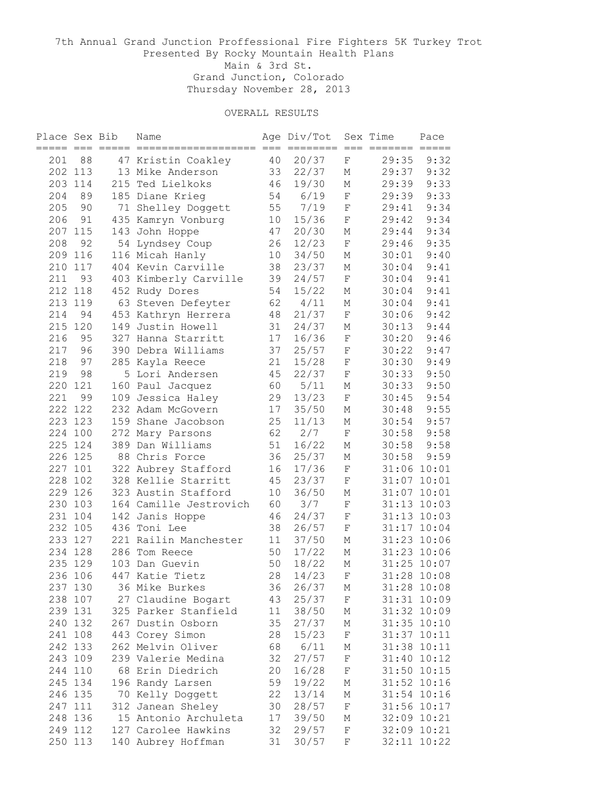| Place Sex Bib |         | === === ===== | Name                   |    | Age Div/Tot<br>$=$ $=$ $=$ | $==$        | Sex Time<br>$\qquad \qquad \equiv \equiv \equiv \equiv \equiv \equiv \equiv$ | Pace<br>$=$ $=$ $=$ $=$ $=$ |
|---------------|---------|---------------|------------------------|----|----------------------------|-------------|------------------------------------------------------------------------------|-----------------------------|
| 201           | 88      |               | 47 Kristin Coakley     | 40 | 20/37                      | $\rm F$     | 29:35                                                                        | 9:32                        |
|               | 202 113 |               | 13 Mike Anderson       | 33 | 22/37                      | М           | 29:37                                                                        | 9:32                        |
|               | 203 114 |               | 215 Ted Lielkoks       | 46 | 19/30                      | М           | 29:39                                                                        | 9:33                        |
| 204           | 89      |               | 185 Diane Krieg        | 54 | 6/19                       | $\mathbf F$ | 29:39                                                                        | 9:33                        |
| 205           | 90      |               | 71 Shelley Doggett     | 55 | 7/19                       | F           | 29:41                                                                        | 9:34                        |
| 206           | 91      |               | 435 Kamryn Vonburg     | 10 | 15/36                      | $\mathbf F$ | 29:42                                                                        | 9:34                        |
| 207           | 115     |               | 143 John Hoppe         | 47 | 20/30                      | М           | 29:44                                                                        | 9:34                        |
| 208           | 92      |               | 54 Lyndsey Coup        | 26 | 12/23                      | $\mathbf F$ | 29:46                                                                        | 9:35                        |
| 209           | 116     |               | 116 Micah Hanly        | 10 | 34/50                      | М           | 30:01                                                                        | 9:40                        |
| 210           | 117     |               | 404 Kevin Carville     | 38 | 23/37                      | М           | 30:04                                                                        | 9:41                        |
| 211           | 93      |               | 403 Kimberly Carville  | 39 | 24/57                      | $\rm F$     | 30:04                                                                        | 9:41                        |
|               | 212 118 |               | 452 Rudy Dores         | 54 | 15/22                      | М           | 30:04                                                                        | 9:41                        |
|               | 213 119 |               | 63 Steven Defeyter     | 62 | 4/11                       | М           | 30:04                                                                        | 9:41                        |
| 214           | 94      |               | 453 Kathryn Herrera    | 48 | 21/37                      | $\mathbf F$ | 30:06                                                                        | 9:42                        |
| 215           | 120     |               | 149 Justin Howell      | 31 | 24/37                      | Μ           | 30:13                                                                        | 9:44                        |
| 216           | 95      |               | 327 Hanna Starritt     | 17 | 16/36                      | $\mathbf F$ | 30:20                                                                        | 9:46                        |
| 217           | 96      |               | 390 Debra Williams     | 37 | 25/57                      | F           | 30:22                                                                        | 9:47                        |
| 218           | 97      |               | 285 Kayla Reece        | 21 | 15/28                      | $\mathbf F$ | 30:30                                                                        | 9:49                        |
| 219           | 98      |               | 5 Lori Andersen        | 45 | 22/37                      | $\mathbf F$ | 30:33                                                                        | 9:50                        |
| 220           | 121     |               | 160 Paul Jacquez       | 60 | $5/11$                     | М           | 30:33                                                                        | 9:50                        |
| 221           | 99      |               | 109 Jessica Haley      | 29 | 13/23                      | $\mathbf F$ | 30:45                                                                        | 9:54                        |
|               | 222 122 |               | 232 Adam McGovern      | 17 | 35/50                      | М           | 30:48                                                                        | 9:55                        |
|               | 223 123 |               | 159 Shane Jacobson     | 25 | 11/13                      | М           | 30:54                                                                        | 9:57                        |
| 224           | 100     |               | 272 Mary Parsons       | 62 | 2/7                        | $\mathbf F$ | 30:58                                                                        | 9:58                        |
| 225           | 124     |               | 389 Dan Williams       | 51 | 16/22                      | М           | 30:58                                                                        | 9:58                        |
|               | 226 125 |               | 88 Chris Force         | 36 | 25/37                      | М           | 30:58                                                                        | 9:59                        |
| 227           | 101     |               | 322 Aubrey Stafford    | 16 | 17/36                      | $\rm F$     |                                                                              | 31:06 10:01                 |
| 228           | 102     |               | 328 Kellie Starritt    | 45 | 23/37                      | $\rm F$     |                                                                              | 31:07 10:01                 |
|               | 229 126 |               | 323 Austin Stafford    | 10 | 36/50                      | М           |                                                                              | 31:07 10:01                 |
|               | 230 103 |               | 164 Camille Jestrovich | 60 | 3/7                        | F           |                                                                              | 31:13 10:03                 |
| 231           | 104     |               | 142 Janis Hoppe        | 46 | 24/37                      | F           |                                                                              | 31:13 10:03                 |
| 232           | 105     |               | 436 Toni Lee           | 38 | 26/57                      | $\rm F$     |                                                                              | 31:17 10:04                 |
| 233           | 127     |               | 221 Railin Manchester  | 11 | 37/50                      | М           |                                                                              | 31:23 10:06                 |
| 234           | 128     |               | 286 Tom Reece          | 50 | 17/22                      | М           |                                                                              | 31:23 10:06                 |
| 235           | 129     |               | 103 Dan Guevin         | 50 | 18/22                      | М           |                                                                              | 31:25 10:07                 |
|               | 236 106 |               | 447 Katie Tietz        | 28 | 14/23                      | F           |                                                                              | 31:28 10:08                 |
|               | 237 130 |               | 36 Mike Burkes         | 36 | 26/37                      | М           |                                                                              | 31:28 10:08                 |
|               | 238 107 |               | 27 Claudine Bogart     | 43 | 25/37                      | F           |                                                                              | 31:31 10:09                 |
|               | 239 131 |               | 325 Parker Stanfield   | 11 | 38/50                      | Μ           |                                                                              | 31:32 10:09                 |
|               | 240 132 |               | 267 Dustin Osborn      | 35 | 27/37                      | М           |                                                                              | 31:35 10:10                 |
|               | 241 108 |               | 443 Corey Simon        | 28 | 15/23                      | $\rm F$     |                                                                              | 31:37 10:11                 |
|               | 242 133 |               | 262 Melvin Oliver      | 68 | 6/11                       | Μ           |                                                                              | 31:38 10:11                 |
|               | 243 109 |               | 239 Valerie Medina     | 32 | 27/57                      | F           |                                                                              | 31:40 10:12                 |
|               | 244 110 |               | 68 Erin Diedrich       | 20 | 16/28                      | F           |                                                                              | 31:50 10:15                 |
|               | 245 134 |               | 196 Randy Larsen       | 59 | 19/22                      | М           |                                                                              | 31:52 10:16                 |
|               | 246 135 |               | 70 Kelly Doggett       | 22 | 13/14                      | М           |                                                                              | 31:54 10:16                 |
|               | 247 111 |               | 312 Janean Sheley      | 30 | 28/57                      | $\rm F$     |                                                                              | 31:56 10:17                 |
|               | 248 136 |               | 15 Antonio Archuleta   | 17 | 39/50                      | М           |                                                                              | 32:09 10:21                 |
|               | 249 112 |               | 127 Carolee Hawkins    | 32 | 29/57                      | F           |                                                                              | 32:09 10:21                 |
|               | 250 113 |               | 140 Aubrey Hoffman     | 31 | 30/57                      | F           |                                                                              | 32:11 10:22                 |
|               |         |               |                        |    |                            |             |                                                                              |                             |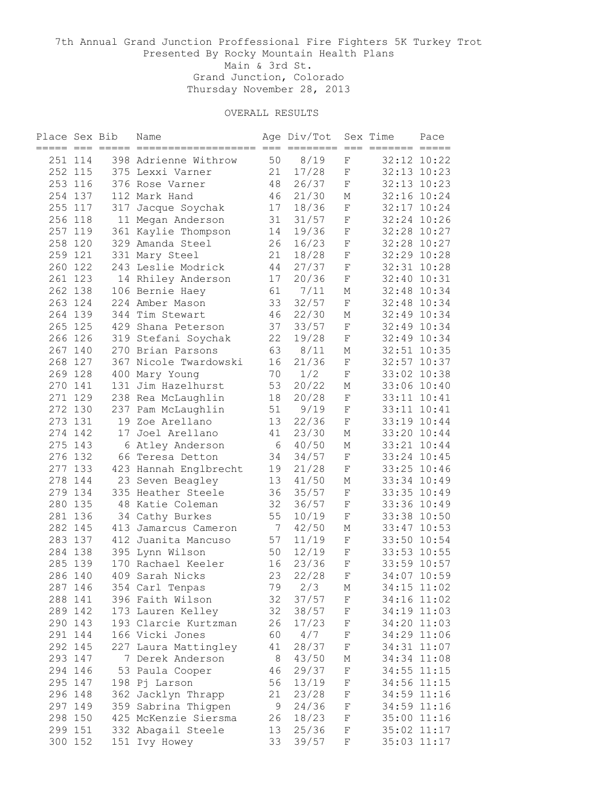| Place Sex Bib |         | ----- --- ----- | Name                  |                 | Age Div/Tot  |             | Sex Time | Pace                           |
|---------------|---------|-----------------|-----------------------|-----------------|--------------|-------------|----------|--------------------------------|
|               | 251 114 |                 | 398 Adrienne Withrow  | 50              | $==$<br>8/19 | $==$<br>F   | =======  | $=$ $=$ $=$ $=$<br>32:12 10:22 |
|               | 252 115 |                 | 375 Lexxi Varner      | 21              | 17/28        | F           |          | 32:13 10:23                    |
|               | 253 116 |                 | 376 Rose Varner       | 48              | 26/37        | $\mathbf F$ |          | 32:13 10:23                    |
|               | 254 137 |                 | 112 Mark Hand         | 46              | 21/30        | М           |          | 32:16 10:24                    |
|               | 255 117 |                 | 317 Jacque Soychak    | 17              | 18/36        | $\mathbf F$ |          | 32:17 10:24                    |
|               | 256 118 |                 | 11 Megan Anderson     | 31              | 31/57        | F           |          | 32:24 10:26                    |
|               | 257 119 |                 | 361 Kaylie Thompson   | 14              | 19/36        | F           |          | 32:28 10:27                    |
| 258           | 120     |                 | 329 Amanda Steel      | 26              | 16/23        | F           |          | 32:28 10:27                    |
|               | 259 121 |                 | 331 Mary Steel        | 21              | 18/28        | F           |          | 32:29 10:28                    |
|               | 260 122 |                 | 243 Leslie Modrick    | 44              | 27/37        | F           |          | 32:31 10:28                    |
|               | 261 123 |                 | 14 Rhiley Anderson    | 17              | 20/36        | $\rm F$     |          | 32:40 10:31                    |
|               | 262 138 |                 | 106 Bernie Haey       | 61              | 7/11         | М           |          | 32:48 10:34                    |
|               | 263 124 |                 | 224 Amber Mason       | 33              | 32/57        | $\rm F$     |          | 32:48 10:34                    |
|               | 264 139 |                 | 344 Tim Stewart       | 46              | 22/30        | М           |          | 32:49 10:34                    |
|               | 265 125 |                 | 429 Shana Peterson    | 37              | 33/57        | $\mathbf F$ |          | 32:49 10:34                    |
|               | 266 126 |                 | 319 Stefani Soychak   | 22              | 19/28        | $\rm F$     |          | 32:49 10:34                    |
|               | 267 140 |                 | 270 Brian Parsons     | 63              | 8/11         | М           |          | 32:51 10:35                    |
|               | 268 127 |                 | 367 Nicole Twardowski | 16              | 21/36        | $\rm F$     |          | 32:57 10:37                    |
|               | 269 128 |                 | 400 Mary Young        | 70              | 1/2          | F           |          | 33:02 10:38                    |
|               | 270 141 |                 | 131 Jim Hazelhurst    | 53              | 20/22        | М           |          | 33:06 10:40                    |
|               | 271 129 |                 | 238 Rea McLaughlin    | 18              | 20/28        | $\mathbf F$ |          | 33:11 10:41                    |
|               | 272 130 |                 | 237 Pam McLaughlin    | 51              | 9/19         | $\mathbf F$ |          | 33:11 10:41                    |
|               | 273 131 |                 | 19 Zoe Arellano       | 13              | 22/36        | $\mathbf F$ |          | 33:19 10:44                    |
|               | 274 142 |                 | 17 Joel Arellano      | 41              | 23/30        | М           |          | 33:20 10:44                    |
| 275           | 143     |                 | 6 Atley Anderson      | 6               | 40/50        | М           |          | 33:21 10:44                    |
|               | 276 132 |                 | 66 Teresa Detton      | 34              | 34/57        | $\rm F$     |          | 33:24 10:45                    |
| 277           | 133     |                 | 423 Hannah Englbrecht | 19              | 21/28        | $\mathbf F$ |          | 33:25 10:46                    |
| 278           | 144     |                 | 23 Seven Beagley      | 13              | 41/50        | М           |          | 33:34 10:49                    |
|               | 279 134 |                 | 335 Heather Steele    | 36              | 35/57        | $\rm F$     |          | 33:35 10:49                    |
|               | 280 135 |                 | 48 Katie Coleman      | 32              | 36/57        | F           |          | 33:36 10:49                    |
| 281           | 136     |                 | 34 Cathy Burkes       | 55              | 10/19        | $\mathbf F$ |          | 33:38 10:50                    |
| 282           | 145     |                 | 413 Jamarcus Cameron  | $7\phantom{.0}$ | 42/50        | М           |          | 33:47 10:53                    |
|               | 283 137 |                 | 412 Juanita Mancuso   | 57              | 11/19        | $\mathbf F$ |          | 33:50 10:54                    |
|               | 284 138 |                 | 395 Lynn Wilson       | 50              | 12/19        | F           |          | 33:53 10:55                    |
|               | 285 139 |                 | 170 Rachael Keeler    | 16              | 23/36        | $\mathbf F$ |          | 33:59 10:57                    |
| 286 140       |         |                 | 409 Sarah Nicks       | 23              | 22/28        | F           |          | 34:07 10:59                    |
|               | 287 146 |                 | 354 Carl Tenpas       | 79              | 2/3          | Μ           |          | 34:15 11:02                    |
|               | 288 141 |                 | 396 Faith Wilson      | 32              | 37/57        | $\rm F$     |          | 34:16 11:02                    |
|               | 289 142 |                 | 173 Lauren Kelley     | 32              | 38/57        | F           |          | 34:19 11:03                    |
|               | 290 143 |                 | 193 Clarcie Kurtzman  | 26              | 17/23        | F           |          | 34:20 11:03                    |
|               | 291 144 |                 | 166 Vicki Jones       | 60              | 4/7          | F           |          | 34:29 11:06                    |
|               | 292 145 |                 | 227 Laura Mattingley  | 41              | 28/37        | F           |          | 34:31 11:07                    |
|               | 293 147 |                 | 7 Derek Anderson      | $\,8\,$         | 43/50        | М           |          | 34:34 11:08                    |
|               | 294 146 |                 | 53 Paula Cooper       | 46              | 29/37        | F           |          | 34:55 11:15                    |
|               | 295 147 |                 | 198 Pj Larson         | 56              | 13/19        | F           |          | 34:56 11:15                    |
|               | 296 148 |                 | 362 Jacklyn Thrapp    | 21              | 23/28        | F           |          | 34:59 11:16                    |
|               | 297 149 |                 | 359 Sabrina Thigpen   | 9               | 24/36        | F           |          | 34:59 11:16                    |
|               | 298 150 |                 | 425 McKenzie Siersma  | 26              | 18/23        | F           |          | 35:00 11:16                    |
|               | 299 151 |                 | 332 Abagail Steele    | 13              | 25/36        | F           |          | 35:02 11:17                    |
|               | 300 152 |                 | 151 Ivy Howey         | 33              | 39/57        | F           |          | 35:03 11:17                    |
|               |         |                 |                       |                 |              |             |          |                                |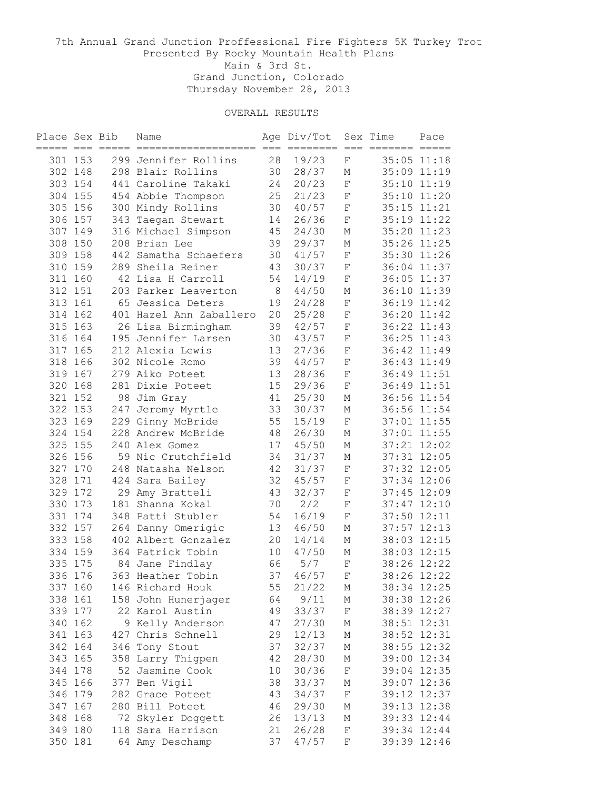| Place Sex Bib |         |                | Name                                   |         | Age Div/Tot          |                 | Sex Time | Pace                           |
|---------------|---------|----------------|----------------------------------------|---------|----------------------|-----------------|----------|--------------------------------|
|               | 301 153 | ==== === ===== | 299 Jennifer Rollins                   | 28      | $=$ $=$ $=$<br>19/23 | $==$<br>$\rm F$ | =======  | $=$ $=$ $=$ $=$<br>35:05 11:18 |
|               | 302 148 |                | 298 Blair Rollins                      | 30      | 28/37                | М               |          | 35:09 11:19                    |
|               | 303 154 |                | 441 Caroline Takaki                    | 24      | 20/23                | $\mathbf F$     |          | 35:10 11:19                    |
|               | 304 155 |                | 454 Abbie Thompson                     | 25      | 21/23                | $\mathbf F$     |          | 35:10 11:20                    |
|               | 305 156 |                |                                        | 30      | 40/57                | F               |          | 35:15 11:21                    |
|               | 306 157 |                | 300 Mindy Rollins                      | 14      | 26/36                | $\rm F$         |          | 35:19 11:22                    |
|               | 307 149 |                | 343 Taegan Stewart                     | 45      | 24/30                | М               |          | 35:20 11:23                    |
| 308           | 150     |                | 316 Michael Simpson<br>208 Brian Lee   | 39      | 29/37                | М               |          | 35:26 11:25                    |
|               | 309 158 |                | 442 Samatha Schaefers                  | 30      | 41/57                | $\mathbf F$     |          | 35:30 11:26                    |
|               | 310 159 |                |                                        |         | 30/37                |                 |          | 36:04 11:37                    |
|               | 311 160 |                | 289 Sheila Reiner<br>42 Lisa H Carroll | 43      |                      | F<br>$\rm F$    |          |                                |
|               |         |                | 203 Parker Leaverton                   | 54      | 14/19                |                 |          | 36:05 11:37                    |
|               | 312 151 |                |                                        | $\,8\,$ | 44/50                | М               |          | 36:10 11:39                    |
|               | 313 161 |                | 65 Jessica Deters                      | 19      | 24/28                | $\mathbf F$     |          | 36:19 11:42                    |
|               | 314 162 |                | 401 Hazel Ann Zaballero                | 20      | 25/28                | $\rm F$         |          | 36:20 11:42                    |
|               | 315 163 |                | 26 Lisa Birmingham                     | 39      | 42/57                | F               |          | 36:22 11:43                    |
|               | 316 164 |                | 195 Jennifer Larsen                    | 30      | 43/57                | F               |          | 36:25 11:43                    |
|               | 317 165 |                | 212 Alexia Lewis                       | 13      | 27/36                | F               |          | 36:42 11:49                    |
|               | 318 166 |                | 302 Nicole Romo                        | 39      | 44/57                | $\rm F$         |          | 36:43 11:49                    |
|               | 319 167 |                | 279 Aiko Poteet                        | 13      | 28/36                | $\mathbf F$     |          | 36:49 11:51                    |
|               | 320 168 |                | 281 Dixie Poteet                       | 15      | 29/36                | $\rm F$         |          | 36:49 11:51                    |
|               | 321 152 |                | 98 Jim Gray                            | 41      | 25/30                | М               |          | 36:56 11:54                    |
|               | 322 153 | 247            | Jeremy Myrtle                          | 33      | 30/37                | М               |          | 36:56 11:54                    |
|               | 323 169 |                | 229 Ginny McBride                      | 55      | 15/19                | $\mathbf F$     |          | 37:01 11:55                    |
|               | 324 154 |                | 228 Andrew McBride                     | 48      | 26/30                | М               |          | 37:01 11:55                    |
|               | 325 155 |                | 240 Alex Gomez                         | 17      | 45/50                | М               |          | 37:21 12:02                    |
|               | 326 156 |                | 59 Nic Crutchfield                     | 34      | 31/37                | М               |          | 37:31 12:05                    |
|               | 327 170 |                | 248 Natasha Nelson                     | 42      | 31/37                | $\rm F$         |          | 37:32 12:05                    |
|               | 328 171 |                | 424 Sara Bailey                        | 32      | 45/57                | $\rm F$         |          | 37:34 12:06                    |
|               | 329 172 |                | 29 Amy Bratteli                        | 43      | 32/37                | $\rm F$         |          | 37:45 12:09                    |
| 330           | 173     |                | 181 Shanna Kokal                       | 70      | 2/2                  | F               |          | 37:47 12:10                    |
| 331           | 174     |                | 348 Patti Stubler                      | 54      | 16/19                | $\mathbf F$     |          | 37:50 12:11                    |
| 332           | 157     |                | 264 Danny Omerigic                     | 13      | 46/50                | М               |          | $37:57$ $12:13$                |
|               | 333 158 |                | 402 Albert Gonzalez                    | 20      | 14/14                | М               |          | 38:03 12:15                    |
|               | 334 159 |                | 364 Patrick Tobin                      | 10      | 47/50                | М               |          | 38:03 12:15                    |
|               | 335 175 |                | 84 Jane Findlay                        | 66      | 5/7                  | $\mathbf F$     |          | 38:26 12:22                    |
|               | 336 176 |                | 363 Heather Tobin                      | 37      | 46/57                | F               |          | 38:26 12:22                    |
|               | 337 160 |                | 146 Richard Houk                       | 55      | 21/22                | Μ               |          | 38:34 12:25                    |
|               | 338 161 |                | 158 John Hunerjager                    | 64      | 9/11                 | М               |          | 38:38 12:26                    |
|               | 339 177 |                | 22 Karol Austin                        | 49      | 33/37                | F               |          | 38:39 12:27                    |
|               | 340 162 |                | 9 Kelly Anderson                       | 47      | 27/30                | Μ               |          | 38:51 12:31                    |
|               | 341 163 |                | 427 Chris Schnell                      | 29      | 12/13                | М               |          | 38:52 12:31                    |
|               | 342 164 |                | 346 Tony Stout                         | 37      | 32/37                | М               |          | 38:55 12:32                    |
| 343 165       |         |                | 358 Larry Thigpen                      | 42      | 28/30                | М               |          | 39:00 12:34                    |
|               | 344 178 |                | 52 Jasmine Cook                        | 10      | 30/36                | $\rm F$         |          | 39:04 12:35                    |
|               | 345 166 |                | 377 Ben Vigil                          | 38      | 33/37                | Μ               |          | 39:07 12:36                    |
|               | 346 179 |                | 282 Grace Poteet                       | 43      | 34/37                | $\rm F$         |          | 39:12 12:37                    |
|               | 347 167 |                | 280 Bill Poteet                        | 46      | 29/30                | Μ               |          | 39:13 12:38                    |
| 348           | 168     |                | 72 Skyler Doggett                      | 26      | 13/13                | Μ               |          | 39:33 12:44                    |
|               | 349 180 |                | 118 Sara Harrison                      | 21      | 26/28                | $\rm F$         |          | 39:34 12:44                    |
|               | 350 181 |                | 64 Amy Deschamp                        | 37      | 47/57                | F               |          | 39:39 12:46                    |